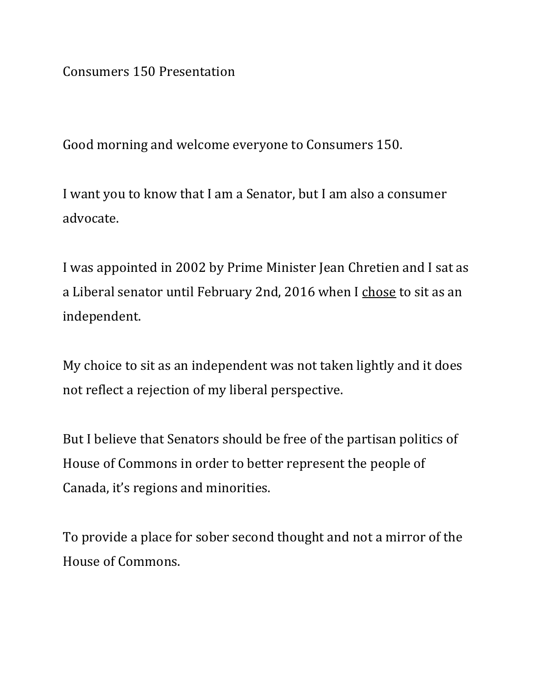Consumers 150 Presentation

Good morning and welcome everyone to Consumers 150.

I want you to know that I am a Senator, but I am also a consumer advocate.

I was appointed in 2002 by Prime Minister Jean Chretien and I sat as a Liberal senator until February 2nd, 2016 when I chose to sit as an independent.

My choice to sit as an independent was not taken lightly and it does not reflect a rejection of my liberal perspective.

But I believe that Senators should be free of the partisan politics of House of Commons in order to better represent the people of Canada, it's regions and minorities.

To provide a place for sober second thought and not a mirror of the House of Commons.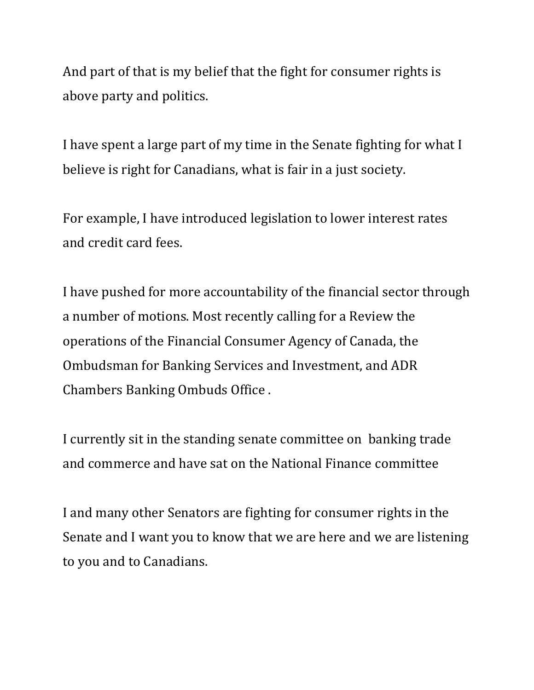And part of that is my belief that the fight for consumer rights is above party and politics.

I have spent a large part of my time in the Senate fighting for what I believe is right for Canadians, what is fair in a just society.

For example, I have introduced legislation to lower interest rates and credit card fees.

I have pushed for more accountability of the financial sector through a number of motions. Most recently calling for a Review the operations of the Financial Consumer Agency of Canada, the Ombudsman for Banking Services and Investment, and ADR Chambers Banking Ombuds Office .

I currently sit in the standing senate committee on banking trade and commerce and have sat on the National Finance committee

I and many other Senators are fighting for consumer rights in the Senate and I want you to know that we are here and we are listening to you and to Canadians.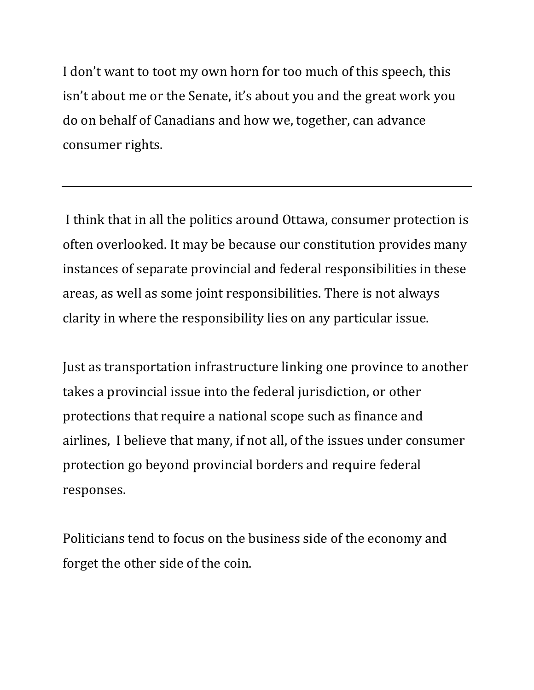I don't want to toot my own horn for too much of this speech, this isn't about me or the Senate, it's about you and the great work you do on behalf of Canadians and how we, together, can advance consumer rights.

I think that in all the politics around Ottawa, consumer protection is often overlooked. It may be because our constitution provides many instances of separate provincial and federal responsibilities in these areas, as well as some joint responsibilities. There is not always clarity in where the responsibility lies on any particular issue.

Just as transportation infrastructure linking one province to another takes a provincial issue into the federal jurisdiction, or other protections that require a national scope such as finance and airlines, I believe that many, if not all, of the issues under consumer protection go beyond provincial borders and require federal responses.

Politicians tend to focus on the business side of the economy and forget the other side of the coin.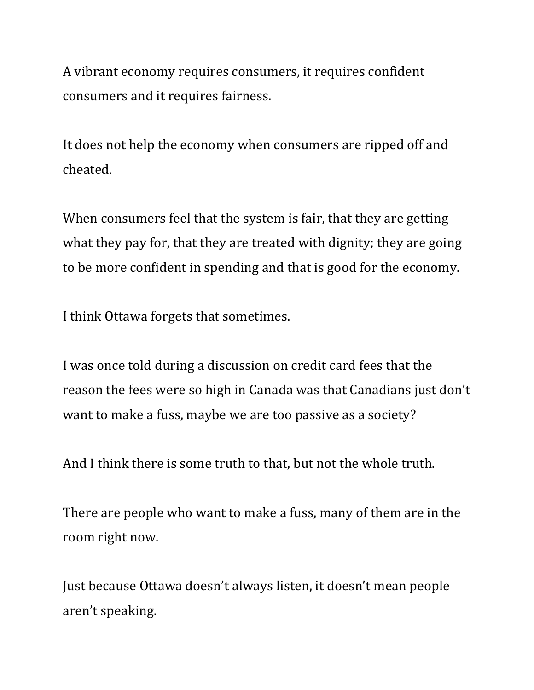A vibrant economy requires consumers, it requires confident consumers and it requires fairness.

It does not help the economy when consumers are ripped off and cheated.

When consumers feel that the system is fair, that they are getting what they pay for, that they are treated with dignity; they are going to be more confident in spending and that is good for the economy.

I think Ottawa forgets that sometimes.

I was once told during a discussion on credit card fees that the reason the fees were so high in Canada was that Canadians just don't want to make a fuss, maybe we are too passive as a society?

And I think there is some truth to that, but not the whole truth.

There are people who want to make a fuss, many of them are in the room right now.

Just because Ottawa doesn't always listen, it doesn't mean people aren't speaking.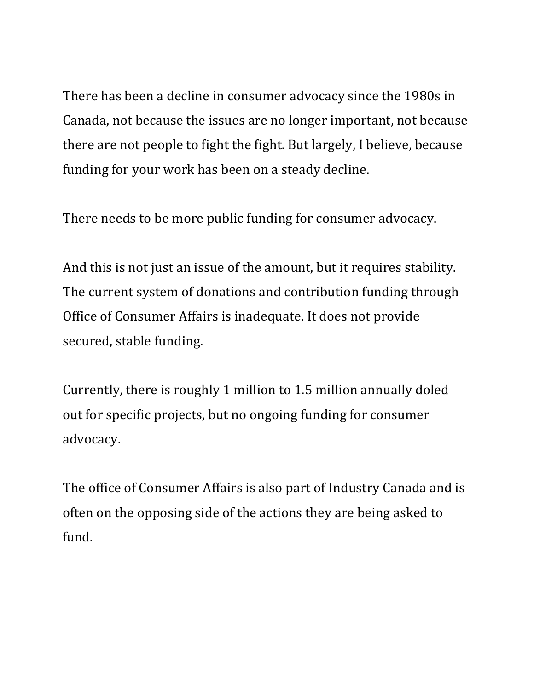There has been a decline in consumer advocacy since the 1980s in Canada, not because the issues are no longer important, not because there are not people to fight the fight. But largely, I believe, because funding for your work has been on a steady decline.

There needs to be more public funding for consumer advocacy.

And this is not just an issue of the amount, but it requires stability. The current system of donations and contribution funding through Office of Consumer Affairs is inadequate. It does not provide secured, stable funding.

Currently, there is roughly 1 million to 1.5 million annually doled out for specific projects, but no ongoing funding for consumer advocacy.

The office of Consumer Affairs is also part of Industry Canada and is often on the opposing side of the actions they are being asked to fund.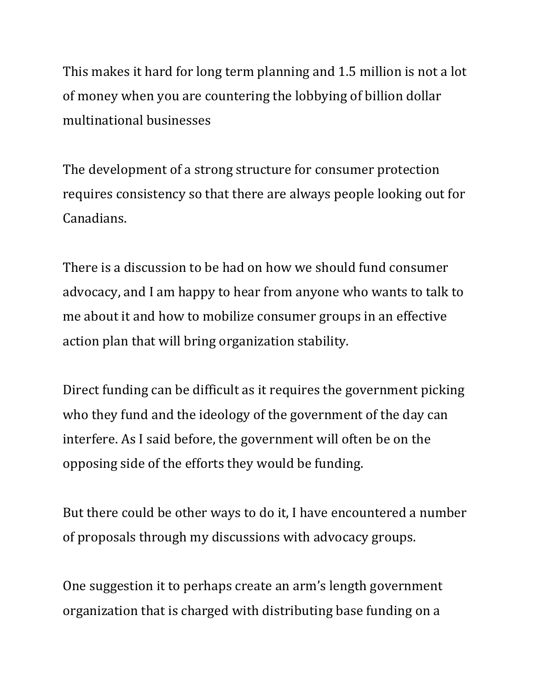This makes it hard for long term planning and 1.5 million is not a lot of money when you are countering the lobbying of billion dollar multinational businesses

The development of a strong structure for consumer protection requires consistency so that there are always people looking out for Canadians.

There is a discussion to be had on how we should fund consumer advocacy, and I am happy to hear from anyone who wants to talk to me about it and how to mobilize consumer groups in an effective action plan that will bring organization stability.

Direct funding can be difficult as it requires the government picking who they fund and the ideology of the government of the day can interfere. As I said before, the government will often be on the opposing side of the efforts they would be funding.

But there could be other ways to do it, I have encountered a number of proposals through my discussions with advocacy groups.

One suggestion it to perhaps create an arm's length government organization that is charged with distributing base funding on a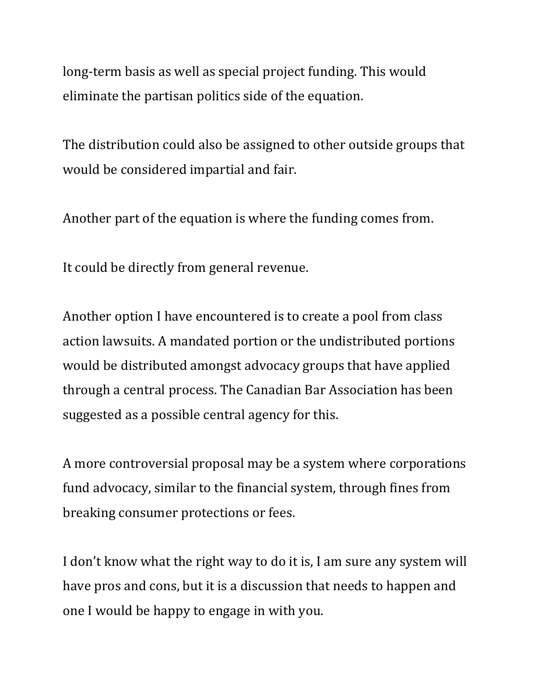long-term basis as well as special project funding. This would eliminate the partisan politics side of the equation.

The distribution could also be assigned to other outside groups that would be considered impartial and fair.

Another part of the equation is where the funding comes from.

It could be directly from general revenue.

Another option I have encountered is to create a pool from class action lawsuits. A mandated portion or the undistributed portions would be distributed amongst advocacy groups that have applied through a central process. The Canadian Bar Association has been suggested as a possible central agency for this.

A more controversial proposal may be a system where corporations fund advocacy, similar to the financial system, through fines from breaking consumer protections or fees.

I don't know what the right way to do it is, I am sure any system will have pros and cons, but it is a discussion that needs to happen and one I would be happy to engage in with you.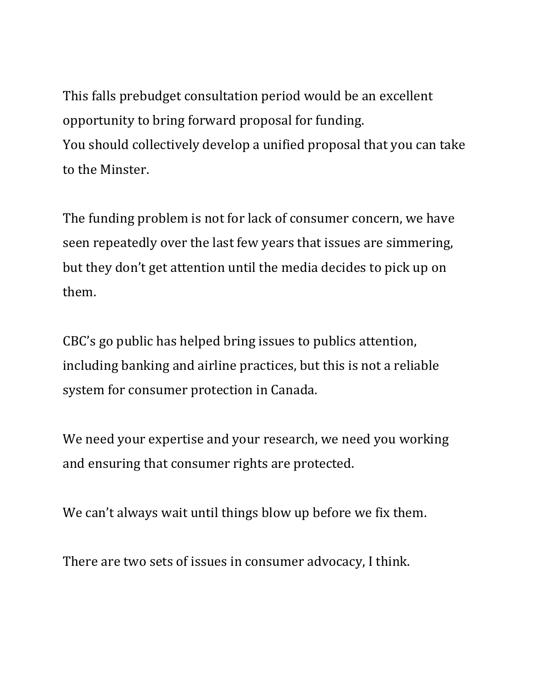This falls prebudget consultation period would be an excellent opportunity to bring forward proposal for funding. You should collectively develop a unified proposal that you can take to the Minster.

The funding problem is not for lack of consumer concern, we have seen repeatedly over the last few years that issues are simmering, but they don't get attention until the media decides to pick up on them.

CBC's go public has helped bring issues to publics attention, including banking and airline practices, but this is not a reliable system for consumer protection in Canada.

We need your expertise and your research, we need you working and ensuring that consumer rights are protected.

We can't always wait until things blow up before we fix them.

There are two sets of issues in consumer advocacy, I think.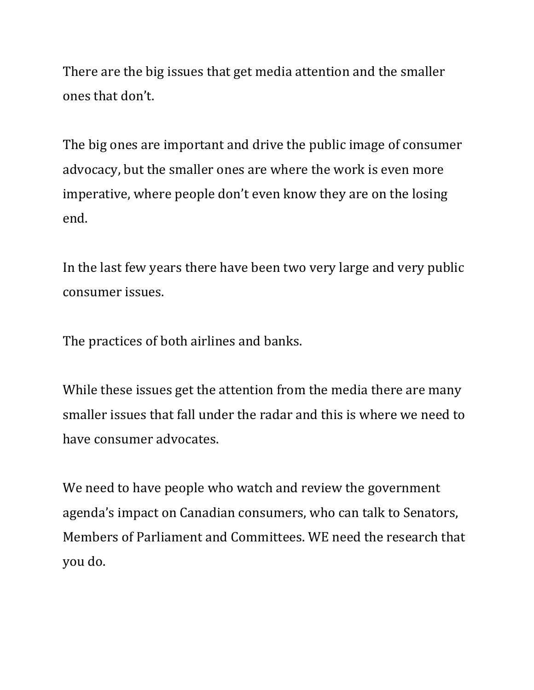There are the big issues that get media attention and the smaller ones that don't.

The big ones are important and drive the public image of consumer advocacy, but the smaller ones are where the work is even more imperative, where people don't even know they are on the losing end.

In the last few years there have been two very large and very public consumer issues.

The practices of both airlines and banks.

While these issues get the attention from the media there are many smaller issues that fall under the radar and this is where we need to have consumer advocates.

We need to have people who watch and review the government agenda's impact on Canadian consumers, who can talk to Senators, Members of Parliament and Committees. WE need the research that you do.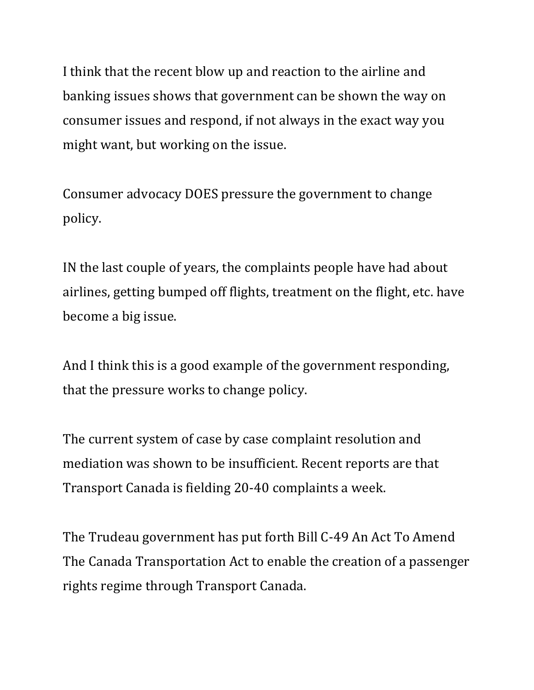I think that the recent blow up and reaction to the airline and banking issues shows that government can be shown the way on consumer issues and respond, if not always in the exact way you might want, but working on the issue.

Consumer advocacy DOES pressure the government to change policy.

IN the last couple of years, the complaints people have had about airlines, getting bumped off flights, treatment on the flight, etc. have become a big issue.

And I think this is a good example of the government responding, that the pressure works to change policy.

The current system of case by case complaint resolution and mediation was shown to be insufficient. Recent reports are that Transport Canada is fielding 20-40 complaints a week.

The Trudeau government has put forth Bill C-49 An Act To Amend The Canada Transportation Act to enable the creation of a passenger rights regime through Transport Canada.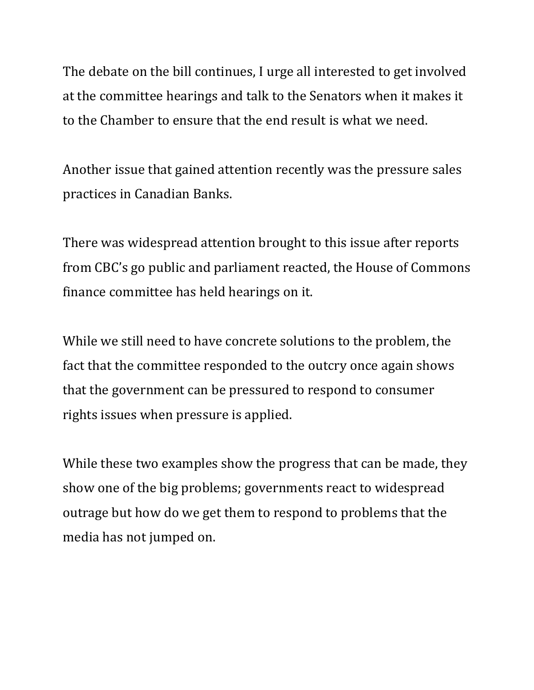The debate on the bill continues, I urge all interested to get involved at the committee hearings and talk to the Senators when it makes it to the Chamber to ensure that the end result is what we need.

Another issue that gained attention recently was the pressure sales practices in Canadian Banks.

There was widespread attention brought to this issue after reports from CBC's go public and parliament reacted, the House of Commons finance committee has held hearings on it.

While we still need to have concrete solutions to the problem, the fact that the committee responded to the outcry once again shows that the government can be pressured to respond to consumer rights issues when pressure is applied.

While these two examples show the progress that can be made, they show one of the big problems; governments react to widespread outrage but how do we get them to respond to problems that the media has not jumped on.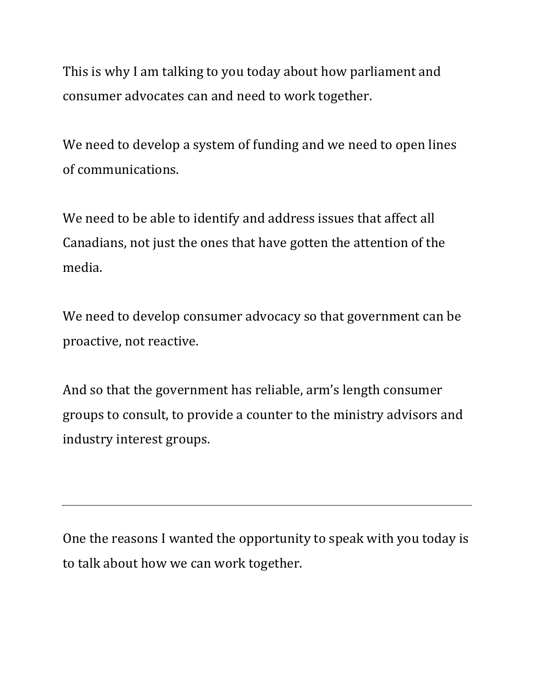This is why I am talking to you today about how parliament and consumer advocates can and need to work together.

We need to develop a system of funding and we need to open lines of communications.

We need to be able to identify and address issues that affect all Canadians, not just the ones that have gotten the attention of the media.

We need to develop consumer advocacy so that government can be proactive, not reactive.

And so that the government has reliable, arm's length consumer groups to consult, to provide a counter to the ministry advisors and industry interest groups.

One the reasons I wanted the opportunity to speak with you today is to talk about how we can work together.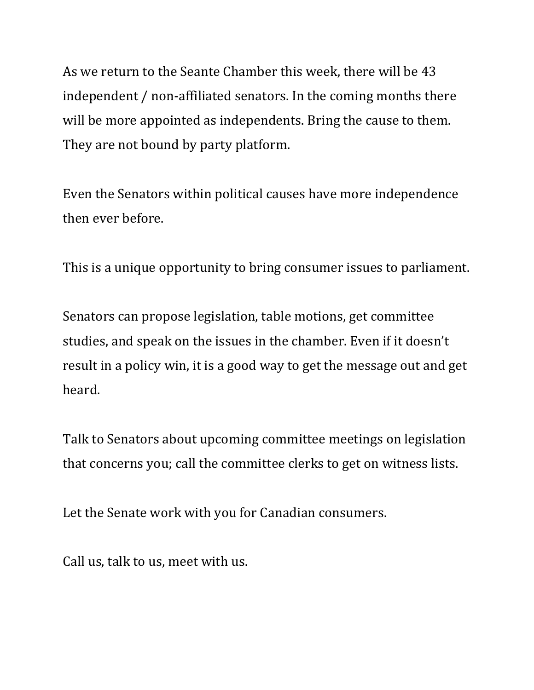As we return to the Seante Chamber this week, there will be 43 independent / non-affiliated senators. In the coming months there will be more appointed as independents. Bring the cause to them. They are not bound by party platform.

Even the Senators within political causes have more independence then ever before.

This is a unique opportunity to bring consumer issues to parliament.

Senators can propose legislation, table motions, get committee studies, and speak on the issues in the chamber. Even if it doesn't result in a policy win, it is a good way to get the message out and get heard.

Talk to Senators about upcoming committee meetings on legislation that concerns you; call the committee clerks to get on witness lists.

Let the Senate work with you for Canadian consumers.

Call us, talk to us, meet with us.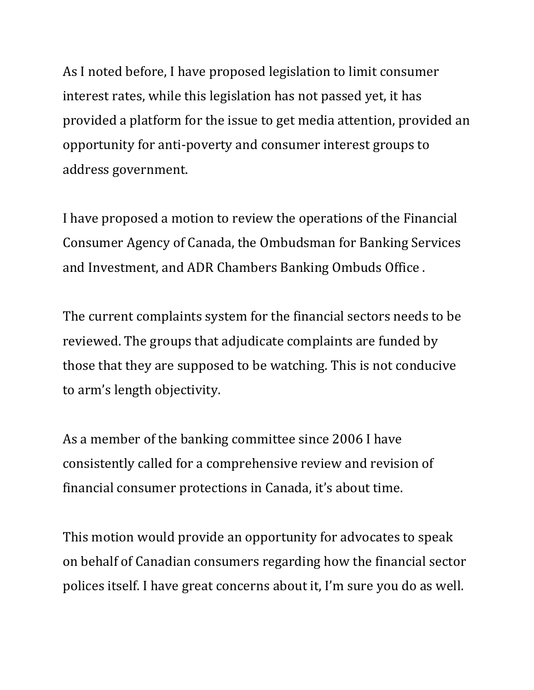As I noted before, I have proposed legislation to limit consumer interest rates, while this legislation has not passed yet, it has provided a platform for the issue to get media attention, provided an opportunity for anti-poverty and consumer interest groups to address government.

I have proposed a motion to review the operations of the Financial Consumer Agency of Canada, the Ombudsman for Banking Services and Investment, and ADR Chambers Banking Ombuds Office .

The current complaints system for the financial sectors needs to be reviewed. The groups that adjudicate complaints are funded by those that they are supposed to be watching. This is not conducive to arm's length objectivity.

As a member of the banking committee since 2006 I have consistently called for a comprehensive review and revision of financial consumer protections in Canada, it's about time.

This motion would provide an opportunity for advocates to speak on behalf of Canadian consumers regarding how the financial sector polices itself. I have great concerns about it, I'm sure you do as well.